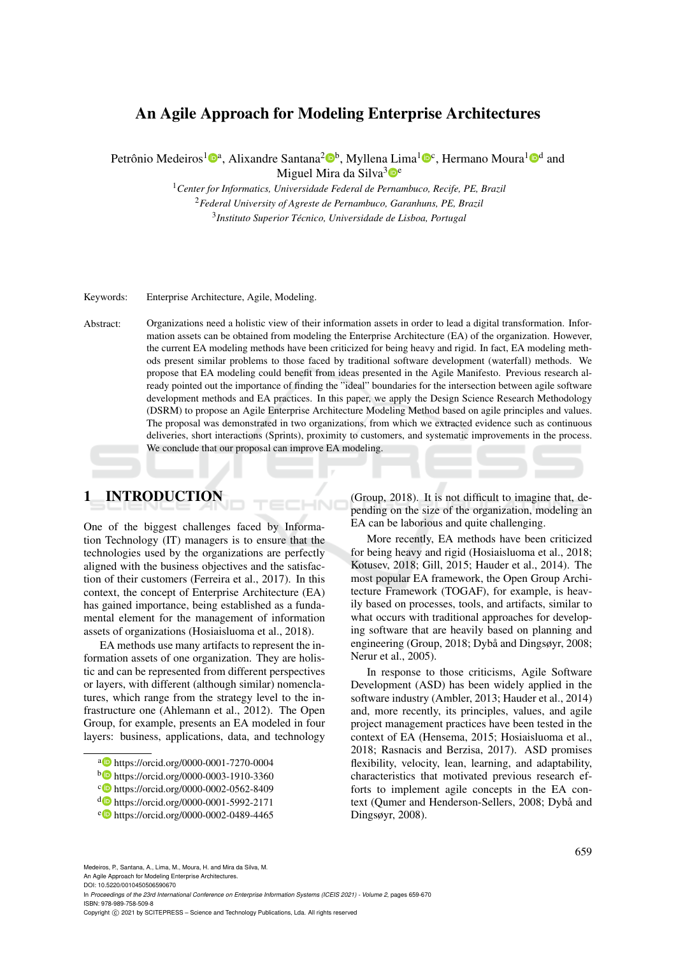# An Agile Approach for Modeling Enterprise Architectures

Petrônio Medeiros<sup>1</sup>®<sup>a</sup>, Alixandre Santana<sup>2</sup>®<sup>b</sup>, Myllena Lima<sup>1</sup>®<sup>c</sup>, Hermano Moura<sup>1</sup>®<sup>d</sup> and Miguel Mira da Silva $3\degree$ 

> <sup>1</sup>*Center for Informatics, Universidade Federal de Pernambuco, Recife, PE, Brazil* <sup>2</sup>*Federal University of Agreste de Pernambuco, Garanhuns, PE, Brazil* 3 *Instituto Superior Tecnico, Universidade de Lisboa, Portugal ´*

Keywords: Enterprise Architecture, Agile, Modeling.

Abstract: Organizations need a holistic view of their information assets in order to lead a digital transformation. Information assets can be obtained from modeling the Enterprise Architecture (EA) of the organization. However, the current EA modeling methods have been criticized for being heavy and rigid. In fact, EA modeling methods present similar problems to those faced by traditional software development (waterfall) methods. We propose that EA modeling could benefit from ideas presented in the Agile Manifesto. Previous research already pointed out the importance of finding the "ideal" boundaries for the intersection between agile software development methods and EA practices. In this paper, we apply the Design Science Research Methodology (DSRM) to propose an Agile Enterprise Architecture Modeling Method based on agile principles and values. The proposal was demonstrated in two organizations, from which we extracted evidence such as continuous deliveries, short interactions (Sprints), proximity to customers, and systematic improvements in the process. We conclude that our proposal can improve EA modeling.

# 1 INTRODUCTION

One of the biggest challenges faced by Information Technology (IT) managers is to ensure that the technologies used by the organizations are perfectly aligned with the business objectives and the satisfaction of their customers (Ferreira et al., 2017). In this context, the concept of Enterprise Architecture (EA) has gained importance, being established as a fundamental element for the management of information assets of organizations (Hosiaisluoma et al., 2018).

EA methods use many artifacts to represent the information assets of one organization. They are holistic and can be represented from different perspectives or layers, with different (although similar) nomenclatures, which range from the strategy level to the infrastructure one (Ahlemann et al., 2012). The Open Group, for example, presents an EA modeled in four layers: business, applications, data, and technology (Group, 2018). It is not difficult to imagine that, depending on the size of the organization, modeling an EA can be laborious and quite challenging.

More recently, EA methods have been criticized for being heavy and rigid (Hosiaisluoma et al., 2018; Kotusev, 2018; Gill, 2015; Hauder et al., 2014). The most popular EA framework, the Open Group Architecture Framework (TOGAF), for example, is heavily based on processes, tools, and artifacts, similar to what occurs with traditional approaches for developing software that are heavily based on planning and engineering (Group,  $2018$ ; Dybå and Dingsøyr,  $2008$ ; Nerur et al., 2005).

In response to those criticisms, Agile Software Development (ASD) has been widely applied in the software industry (Ambler, 2013; Hauder et al., 2014) and, more recently, its principles, values, and agile project management practices have been tested in the context of EA (Hensema, 2015; Hosiaisluoma et al., 2018; Rasnacis and Berzisa, 2017). ASD promises flexibility, velocity, lean, learning, and adaptability, characteristics that motivated previous research efforts to implement agile concepts in the EA context (Qumer and Henderson-Sellers, 2008; Dybå and Dingsøyr, 2008).

DOI: 10.5220/0010450506590670

In *Proceedings of the 23rd International Conference on Enterprise Information Systems (ICEIS 2021) - Volume 2*, pages 659-670 ISBN: 978-989-758-509-8

Copyright (C) 2021 by SCITEPRESS - Science and Technology Publications, Lda. All rights reserved

<sup>a</sup> https://orcid.org/0000-0001-7270-0004

<sup>b</sup> https://orcid.org/0000-0003-1910-3360

c https://orcid.org/0000-0002-0562-8409

<sup>d</sup> https://orcid.org/0000-0001-5992-2171

<sup>e</sup> https://orcid.org/0000-0002-0489-4465

Medeiros, P., Santana, A., Lima, M., Moura, H. and Mira da Silva, M. An Agile Approach for Modeling Enterprise Architectures.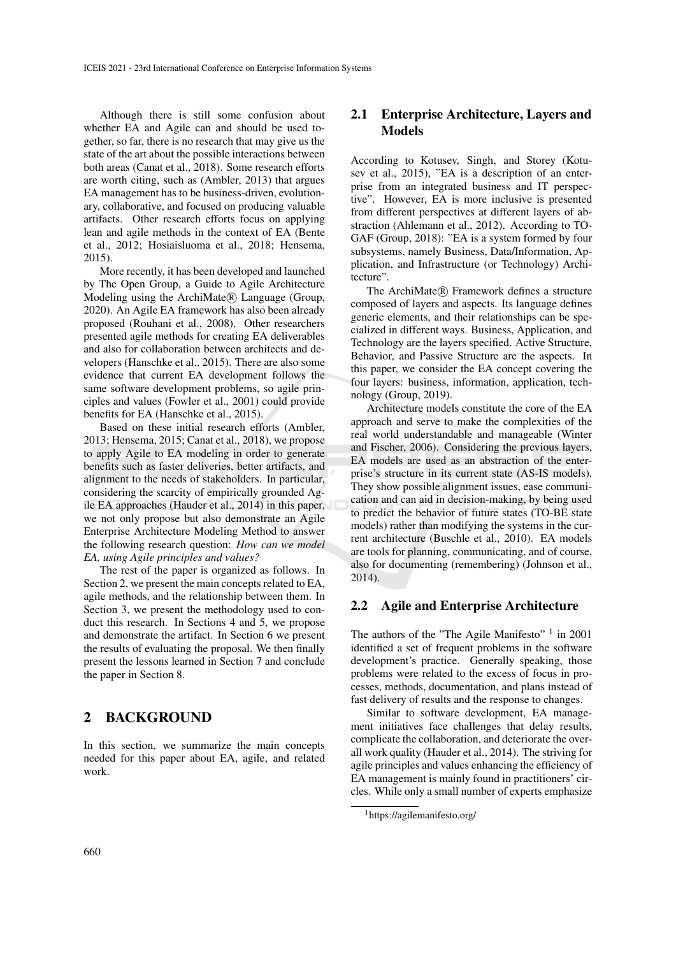Although there is still some confusion about whether EA and Agile can and should be used together, so far, there is no research that may give us the state of the art about the possible interactions between both areas (Canat et al., 2018). Some research efforts are worth citing, such as (Ambler, 2013) that argues EA management has to be business-driven, evolutionary, collaborative, and focused on producing valuable artifacts. Other research efforts focus on applying lean and agile methods in the context of EA (Bente et al., 2012; Hosiaisluoma et al., 2018; Hensema, 2015).

More recently, it has been developed and launched by The Open Group, a Guide to Agile Architecture Modeling using the ArchiMate® Language (Group, 2020). An Agile EA framework has also been already proposed (Rouhani et al., 2008). Other researchers presented agile methods for creating EA deliverables and also for collaboration between architects and developers (Hanschke et al., 2015). There are also some evidence that current EA development follows the same software development problems, so agile principles and values (Fowler et al., 2001) could provide benefits for EA (Hanschke et al., 2015).

Based on these initial research efforts (Ambler, 2013; Hensema, 2015; Canat et al., 2018), we propose to apply Agile to EA modeling in order to generate benefits such as faster deliveries, better artifacts, and alignment to the needs of stakeholders. In particular, considering the scarcity of empirically grounded Agile EA approaches (Hauder et al., 2014) in this paper, we not only propose but also demonstrate an Agile Enterprise Architecture Modeling Method to answer the following research question: *How can we model EA, using Agile principles and values?*

The rest of the paper is organized as follows. In Section 2, we present the main concepts related to EA, agile methods, and the relationship between them. In Section 3, we present the methodology used to conduct this research. In Sections 4 and 5, we propose and demonstrate the artifact. In Section 6 we present the results of evaluating the proposal. We then finally present the lessons learned in Section 7 and conclude the paper in Section 8.

# 2 BACKGROUND

In this section, we summarize the main concepts needed for this paper about EA, agile, and related work.

### 2.1 Enterprise Architecture, Layers and Models

According to Kotusev, Singh, and Storey (Kotusev et al., 2015), "EA is a description of an enterprise from an integrated business and IT perspective". However, EA is more inclusive is presented from different perspectives at different layers of abstraction (Ahlemann et al., 2012). According to TO-GAF (Group, 2018): "EA is a system formed by four subsystems, namely Business, Data/Information, Application, and Infrastructure (or Technology) Architecture".

The ArchiMate® Framework defines a structure composed of layers and aspects. Its language defines generic elements, and their relationships can be specialized in different ways. Business, Application, and Technology are the layers specified. Active Structure, Behavior, and Passive Structure are the aspects. In this paper, we consider the EA concept covering the four layers: business, information, application, technology (Group, 2019).

Architecture models constitute the core of the EA approach and serve to make the complexities of the real world understandable and manageable (Winter and Fischer, 2006). Considering the previous layers, EA models are used as an abstraction of the enterprise's structure in its current state (AS-IS models). They show possible alignment issues, ease communication and can aid in decision-making, by being used to predict the behavior of future states (TO-BE state models) rather than modifying the systems in the current architecture (Buschle et al., 2010). EA models are tools for planning, communicating, and of course, also for documenting (remembering) (Johnson et al., 2014).

### 2.2 Agile and Enterprise Architecture

The authors of the "The Agile Manifesto"  $1$  in 2001 identified a set of frequent problems in the software development's practice. Generally speaking, those problems were related to the excess of focus in processes, methods, documentation, and plans instead of fast delivery of results and the response to changes.

Similar to software development, EA management initiatives face challenges that delay results, complicate the collaboration, and deteriorate the overall work quality (Hauder et al., 2014). The striving for agile principles and values enhancing the efficiency of EA management is mainly found in practitioners' circles. While only a small number of experts emphasize

<sup>1</sup>https://agilemanifesto.org/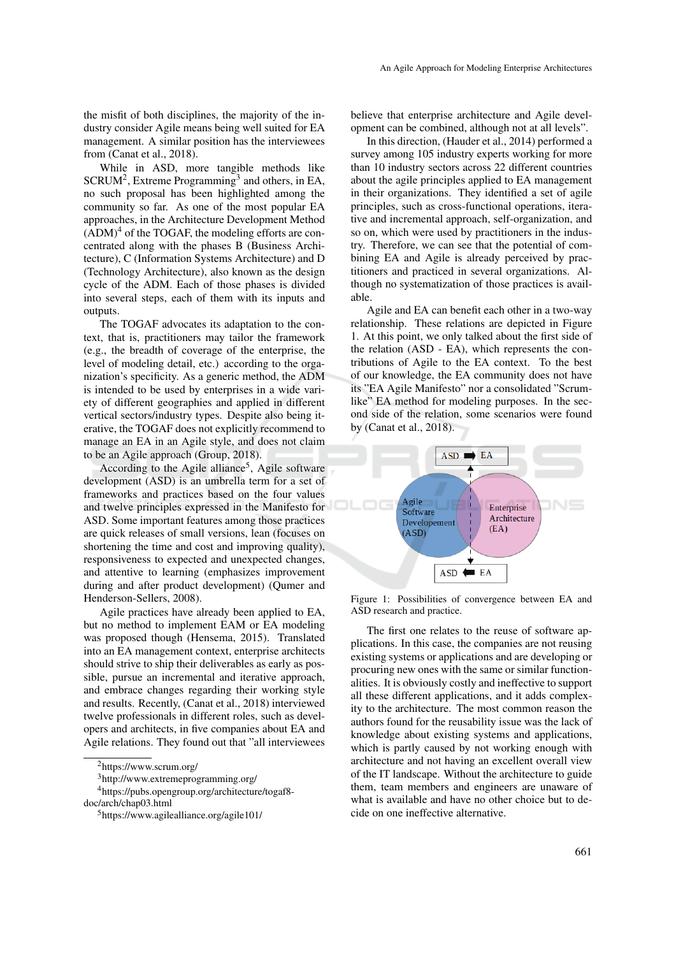the misfit of both disciplines, the majority of the industry consider Agile means being well suited for EA management. A similar position has the interviewees from (Canat et al., 2018).

While in ASD, more tangible methods like  $SCRUM<sup>2</sup>$ , Extreme Programming<sup>3</sup> and others, in EA, no such proposal has been highlighted among the community so far. As one of the most popular EA approaches, in the Architecture Development Method  $(ADM)^4$  of the TOGAF, the modeling efforts are concentrated along with the phases B (Business Architecture), C (Information Systems Architecture) and D (Technology Architecture), also known as the design cycle of the ADM. Each of those phases is divided into several steps, each of them with its inputs and outputs.

The TOGAF advocates its adaptation to the context, that is, practitioners may tailor the framework (e.g., the breadth of coverage of the enterprise, the level of modeling detail, etc.) according to the organization's specificity. As a generic method, the ADM is intended to be used by enterprises in a wide variety of different geographies and applied in different vertical sectors/industry types. Despite also being iterative, the TOGAF does not explicitly recommend to manage an EA in an Agile style, and does not claim to be an Agile approach (Group, 2018).

According to the Agile alliance<sup>5</sup>, Agile software development (ASD) is an umbrella term for a set of frameworks and practices based on the four values and twelve principles expressed in the Manifesto for ASD. Some important features among those practices are quick releases of small versions, lean (focuses on shortening the time and cost and improving quality), responsiveness to expected and unexpected changes, and attentive to learning (emphasizes improvement during and after product development) (Qumer and Henderson-Sellers, 2008).

Agile practices have already been applied to EA, but no method to implement EAM or EA modeling was proposed though (Hensema, 2015). Translated into an EA management context, enterprise architects should strive to ship their deliverables as early as possible, pursue an incremental and iterative approach, and embrace changes regarding their working style and results. Recently, (Canat et al., 2018) interviewed twelve professionals in different roles, such as developers and architects, in five companies about EA and Agile relations. They found out that "all interviewees

<sup>4</sup>https://pubs.opengroup.org/architecture/togaf8 doc/arch/chap03.html

believe that enterprise architecture and Agile development can be combined, although not at all levels".

In this direction, (Hauder et al., 2014) performed a survey among 105 industry experts working for more than 10 industry sectors across 22 different countries about the agile principles applied to EA management in their organizations. They identified a set of agile principles, such as cross-functional operations, iterative and incremental approach, self-organization, and so on, which were used by practitioners in the industry. Therefore, we can see that the potential of combining EA and Agile is already perceived by practitioners and practiced in several organizations. Although no systematization of those practices is available.

Agile and EA can benefit each other in a two-way relationship. These relations are depicted in Figure 1. At this point, we only talked about the first side of the relation (ASD - EA), which represents the contributions of Agile to the EA context. To the best of our knowledge, the EA community does not have its "EA Agile Manifesto" nor a consolidated "Scrumlike" EA method for modeling purposes. In the second side of the relation, some scenarios were found by (Canat et al., 2018).



Figure 1: Possibilities of convergence between EA and ASD research and practice.

The first one relates to the reuse of software applications. In this case, the companies are not reusing existing systems or applications and are developing or procuring new ones with the same or similar functionalities. It is obviously costly and ineffective to support all these different applications, and it adds complexity to the architecture. The most common reason the authors found for the reusability issue was the lack of knowledge about existing systems and applications, which is partly caused by not working enough with architecture and not having an excellent overall view of the IT landscape. Without the architecture to guide them, team members and engineers are unaware of what is available and have no other choice but to decide on one ineffective alternative.

<sup>2</sup>https://www.scrum.org/

<sup>3</sup>http://www.extremeprogramming.org/

<sup>5</sup>https://www.agilealliance.org/agile101/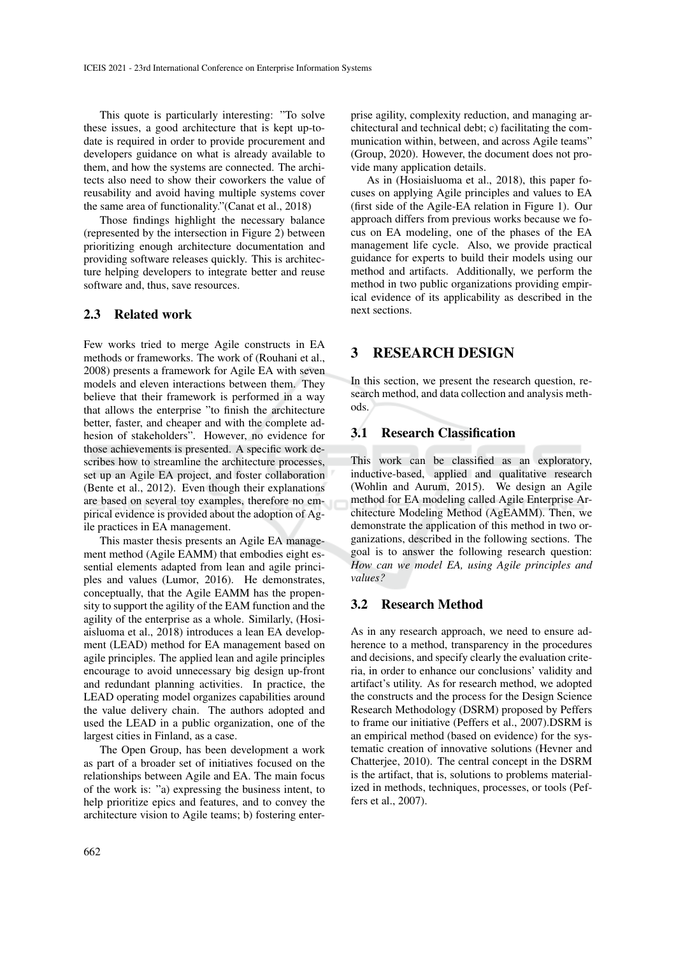This quote is particularly interesting: "To solve these issues, a good architecture that is kept up-todate is required in order to provide procurement and developers guidance on what is already available to them, and how the systems are connected. The architects also need to show their coworkers the value of reusability and avoid having multiple systems cover the same area of functionality."(Canat et al., 2018)

Those findings highlight the necessary balance (represented by the intersection in Figure 2) between prioritizing enough architecture documentation and providing software releases quickly. This is architecture helping developers to integrate better and reuse software and, thus, save resources.

#### 2.3 Related work

Few works tried to merge Agile constructs in EA methods or frameworks. The work of (Rouhani et al., 2008) presents a framework for Agile EA with seven models and eleven interactions between them. They believe that their framework is performed in a way that allows the enterprise "to finish the architecture better, faster, and cheaper and with the complete adhesion of stakeholders". However, no evidence for those achievements is presented. A specific work describes how to streamline the architecture processes, set up an Agile EA project, and foster collaboration (Bente et al., 2012). Even though their explanations are based on several toy examples, therefore no empirical evidence is provided about the adoption of Agile practices in EA management.

This master thesis presents an Agile EA management method (Agile EAMM) that embodies eight essential elements adapted from lean and agile principles and values (Lumor, 2016). He demonstrates, conceptually, that the Agile EAMM has the propensity to support the agility of the EAM function and the agility of the enterprise as a whole. Similarly, (Hosiaisluoma et al., 2018) introduces a lean EA development (LEAD) method for EA management based on agile principles. The applied lean and agile principles encourage to avoid unnecessary big design up-front and redundant planning activities. In practice, the LEAD operating model organizes capabilities around the value delivery chain. The authors adopted and used the LEAD in a public organization, one of the largest cities in Finland, as a case.

The Open Group, has been development a work as part of a broader set of initiatives focused on the relationships between Agile and EA. The main focus of the work is: "a) expressing the business intent, to help prioritize epics and features, and to convey the architecture vision to Agile teams; b) fostering enterprise agility, complexity reduction, and managing architectural and technical debt; c) facilitating the communication within, between, and across Agile teams" (Group, 2020). However, the document does not provide many application details.

As in (Hosiaisluoma et al., 2018), this paper focuses on applying Agile principles and values to EA (first side of the Agile-EA relation in Figure 1). Our approach differs from previous works because we focus on EA modeling, one of the phases of the EA management life cycle. Also, we provide practical guidance for experts to build their models using our method and artifacts. Additionally, we perform the method in two public organizations providing empirical evidence of its applicability as described in the next sections.

# 3 RESEARCH DESIGN

In this section, we present the research question, research method, and data collection and analysis methods.

# 3.1 Research Classification

This work can be classified as an exploratory, inductive-based, applied and qualitative research (Wohlin and Aurum, 2015). We design an Agile method for EA modeling called Agile Enterprise Architecture Modeling Method (AgEAMM). Then, we demonstrate the application of this method in two organizations, described in the following sections. The goal is to answer the following research question: *How can we model EA, using Agile principles and values?*

# 3.2 Research Method

As in any research approach, we need to ensure adherence to a method, transparency in the procedures and decisions, and specify clearly the evaluation criteria, in order to enhance our conclusions' validity and artifact's utility. As for research method, we adopted the constructs and the process for the Design Science Research Methodology (DSRM) proposed by Peffers to frame our initiative (Peffers et al., 2007).DSRM is an empirical method (based on evidence) for the systematic creation of innovative solutions (Hevner and Chatterjee, 2010). The central concept in the DSRM is the artifact, that is, solutions to problems materialized in methods, techniques, processes, or tools (Peffers et al., 2007).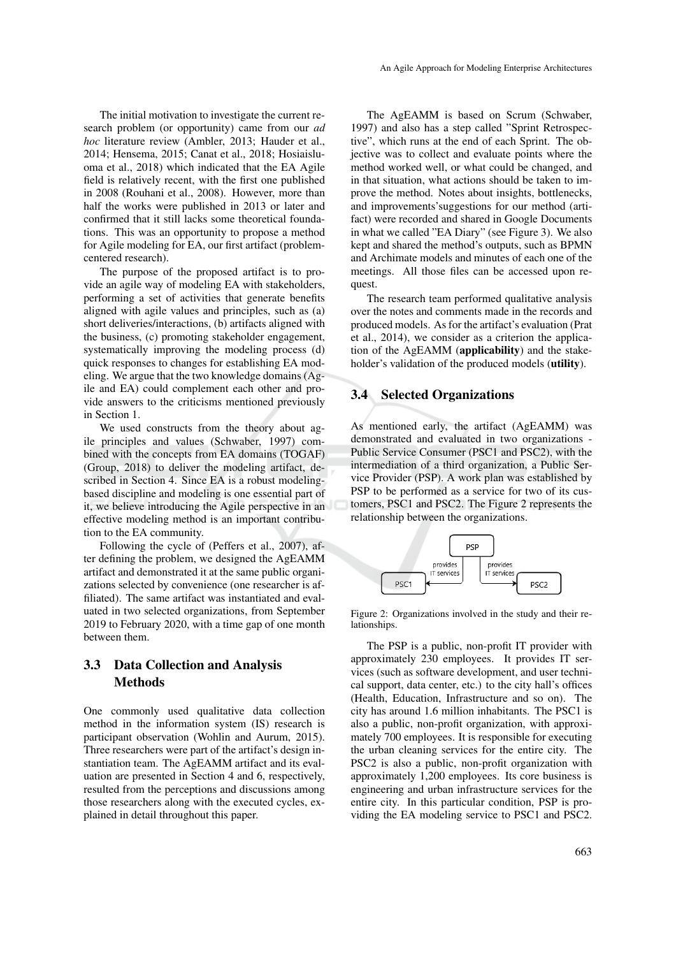The initial motivation to investigate the current research problem (or opportunity) came from our *ad hoc* literature review (Ambler, 2013; Hauder et al., 2014; Hensema, 2015; Canat et al., 2018; Hosiaisluoma et al., 2018) which indicated that the EA Agile field is relatively recent, with the first one published in 2008 (Rouhani et al., 2008). However, more than half the works were published in 2013 or later and confirmed that it still lacks some theoretical foundations. This was an opportunity to propose a method for Agile modeling for EA, our first artifact (problemcentered research).

The purpose of the proposed artifact is to provide an agile way of modeling EA with stakeholders, performing a set of activities that generate benefits aligned with agile values and principles, such as (a) short deliveries/interactions, (b) artifacts aligned with the business, (c) promoting stakeholder engagement, systematically improving the modeling process (d) quick responses to changes for establishing EA modeling. We argue that the two knowledge domains (Agile and EA) could complement each other and provide answers to the criticisms mentioned previously in Section 1.

We used constructs from the theory about agile principles and values (Schwaber, 1997) combined with the concepts from EA domains (TOGAF) (Group, 2018) to deliver the modeling artifact, described in Section 4. Since EA is a robust modelingbased discipline and modeling is one essential part of it, we believe introducing the Agile perspective in an effective modeling method is an important contribution to the EA community.

Following the cycle of (Peffers et al., 2007), after defining the problem, we designed the AgEAMM artifact and demonstrated it at the same public organizations selected by convenience (one researcher is affiliated). The same artifact was instantiated and evaluated in two selected organizations, from September 2019 to February 2020, with a time gap of one month between them.

### 3.3 Data Collection and Analysis **Methods**

One commonly used qualitative data collection method in the information system (IS) research is participant observation (Wohlin and Aurum, 2015). Three researchers were part of the artifact's design instantiation team. The AgEAMM artifact and its evaluation are presented in Section 4 and 6, respectively, resulted from the perceptions and discussions among those researchers along with the executed cycles, explained in detail throughout this paper.

The AgEAMM is based on Scrum (Schwaber, 1997) and also has a step called "Sprint Retrospective", which runs at the end of each Sprint. The objective was to collect and evaluate points where the method worked well, or what could be changed, and in that situation, what actions should be taken to improve the method. Notes about insights, bottlenecks, and improvements'suggestions for our method (artifact) were recorded and shared in Google Documents in what we called "EA Diary" (see Figure 3). We also kept and shared the method's outputs, such as BPMN and Archimate models and minutes of each one of the meetings. All those files can be accessed upon request.

The research team performed qualitative analysis over the notes and comments made in the records and produced models. As for the artifact's evaluation (Prat et al., 2014), we consider as a criterion the application of the AgEAMM (applicability) and the stakeholder's validation of the produced models (utility).

#### 3.4 Selected Organizations

As mentioned early, the artifact (AgEAMM) was demonstrated and evaluated in two organizations - Public Service Consumer (PSC1 and PSC2), with the intermediation of a third organization, a Public Service Provider (PSP). A work plan was established by PSP to be performed as a service for two of its customers, PSC1 and PSC2. The Figure 2 represents the relationship between the organizations.



Figure 2: Organizations involved in the study and their relationships.

The PSP is a public, non-profit IT provider with approximately 230 employees. It provides IT services (such as software development, and user technical support, data center, etc.) to the city hall's offices (Health, Education, Infrastructure and so on). The city has around 1.6 million inhabitants. The PSC1 is also a public, non-profit organization, with approximately 700 employees. It is responsible for executing the urban cleaning services for the entire city. The PSC2 is also a public, non-profit organization with approximately 1,200 employees. Its core business is engineering and urban infrastructure services for the entire city. In this particular condition, PSP is providing the EA modeling service to PSC1 and PSC2.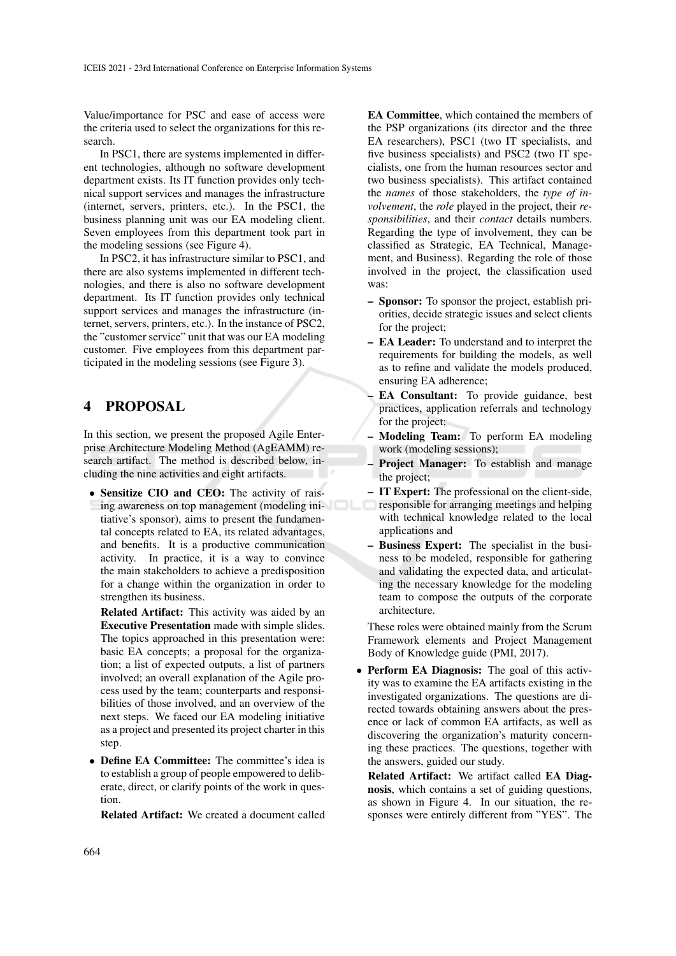Value/importance for PSC and ease of access were the criteria used to select the organizations for this research.

In PSC1, there are systems implemented in different technologies, although no software development department exists. Its IT function provides only technical support services and manages the infrastructure (internet, servers, printers, etc.). In the PSC1, the business planning unit was our EA modeling client. Seven employees from this department took part in the modeling sessions (see Figure 4).

In PSC2, it has infrastructure similar to PSC1, and there are also systems implemented in different technologies, and there is also no software development department. Its IT function provides only technical support services and manages the infrastructure (internet, servers, printers, etc.). In the instance of PSC2, the "customer service" unit that was our EA modeling customer. Five employees from this department participated in the modeling sessions (see Figure 3).

# 4 PROPOSAL

In this section, we present the proposed Agile Enterprise Architecture Modeling Method (AgEAMM) research artifact. The method is described below, including the nine activities and eight artifacts.

• Sensitize CIO and CEO: The activity of raising awareness on top management (modeling initiative's sponsor), aims to present the fundamental concepts related to EA, its related advantages, and benefits. It is a productive communication activity. In practice, it is a way to convince the main stakeholders to achieve a predisposition for a change within the organization in order to strengthen its business.

Related Artifact: This activity was aided by an Executive Presentation made with simple slides. The topics approached in this presentation were: basic EA concepts; a proposal for the organization; a list of expected outputs, a list of partners involved; an overall explanation of the Agile process used by the team; counterparts and responsibilities of those involved, and an overview of the next steps. We faced our EA modeling initiative as a project and presented its project charter in this step.

• Define EA Committee: The committee's idea is to establish a group of people empowered to deliberate, direct, or clarify points of the work in question.

Related Artifact: We created a document called

EA Committee, which contained the members of the PSP organizations (its director and the three EA researchers), PSC1 (two IT specialists, and five business specialists) and PSC2 (two IT specialists, one from the human resources sector and two business specialists). This artifact contained the *names* of those stakeholders, the *type of involvement*, the *role* played in the project, their *responsibilities*, and their *contact* details numbers. Regarding the type of involvement, they can be classified as Strategic, EA Technical, Management, and Business). Regarding the role of those involved in the project, the classification used was:

- Sponsor: To sponsor the project, establish priorities, decide strategic issues and select clients for the project;
- EA Leader: To understand and to interpret the requirements for building the models, as well as to refine and validate the models produced, ensuring EA adherence;
- EA Consultant: To provide guidance, best practices, application referrals and technology for the project;
- Modeling Team: To perform EA modeling work (modeling sessions);
- Project Manager: To establish and manage the project;
- IT Expert: The professional on the client-side, responsible for arranging meetings and helping with technical knowledge related to the local applications and
- Business Expert: The specialist in the business to be modeled, responsible for gathering and validating the expected data, and articulating the necessary knowledge for the modeling team to compose the outputs of the corporate architecture.

These roles were obtained mainly from the Scrum Framework elements and Project Management Body of Knowledge guide (PMI, 2017).

• Perform EA Diagnosis: The goal of this activity was to examine the EA artifacts existing in the investigated organizations. The questions are directed towards obtaining answers about the presence or lack of common EA artifacts, as well as discovering the organization's maturity concerning these practices. The questions, together with the answers, guided our study.

Related Artifact: We artifact called EA Diagnosis, which contains a set of guiding questions, as shown in Figure 4. In our situation, the responses were entirely different from "YES". The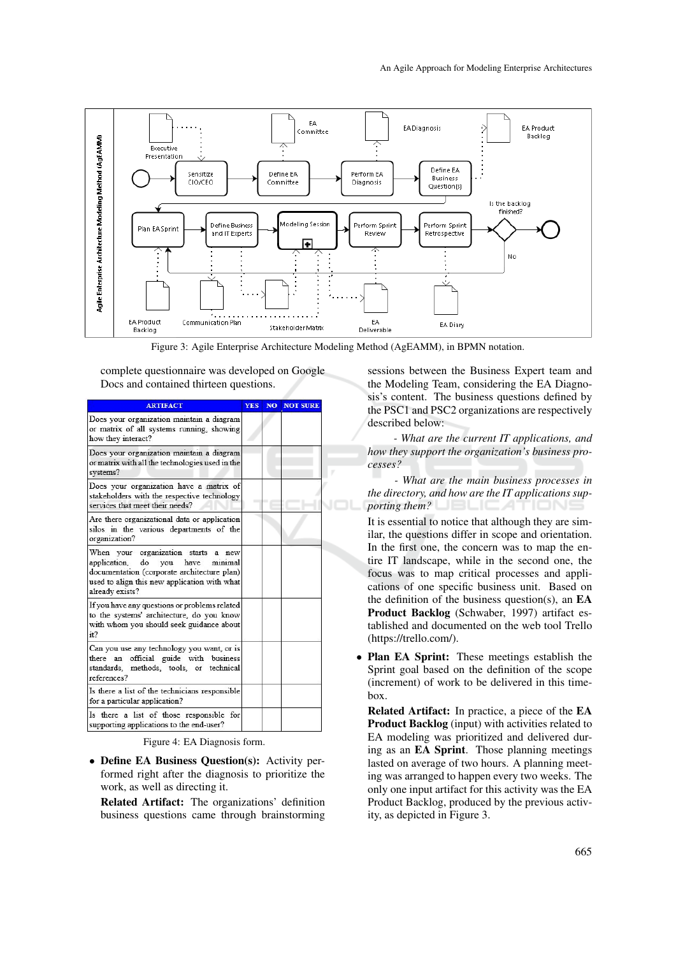

Figure 3: Agile Enterprise Architecture Modeling Method (AgEAMM), in BPMN notation.

complete questionnaire was developed on Google Docs and contained thirteen questions.

| <b>ARTIFACT</b>                                                                                                                                                                              | <b>YES</b> | <b>NO NOT SURE</b> |
|----------------------------------------------------------------------------------------------------------------------------------------------------------------------------------------------|------------|--------------------|
| Does your organization maintain a diagram<br>or matrix of all systems running, showing<br>how they interact?                                                                                 |            |                    |
| Does your organization maintain a diagram<br>or matrix with all the technologies used in the<br>systems?                                                                                     |            |                    |
| Does your organization have a matrix of<br>stakeholders with the respective technology<br>services that meet their needs?                                                                    |            |                    |
| Are there organizational data or application<br>silos in the various departments of the<br>organization?                                                                                     |            |                    |
| When your organization starts a new<br>minimal<br>application, do you have<br>documentation (corporate architecture plan)<br>used to align this new application with what<br>already exists? |            |                    |
| If you have any questions or problems related<br>to the systems' architecture, do you know<br>with whom you should seek guidance about<br>it?                                                |            |                    |
| Can you use any technology you want, or is<br>there an official guide with business<br>standards, methods, tools, or technical<br>references?                                                |            |                    |
| Is there a list of the technicians responsible<br>for a particular application?                                                                                                              |            |                    |
| Is there a list of those responsible for<br>supporting applications to the end-user?                                                                                                         |            |                    |

Figure 4: EA Diagnosis form.

• Define EA Business Question(s): Activity performed right after the diagnosis to prioritize the work, as well as directing it.

Related Artifact: The organizations' definition business questions came through brainstorming

sessions between the Business Expert team and the Modeling Team, considering the EA Diagnosis's content. The business questions defined by the PSC1 and PSC2 organizations are respectively described below:

*- What are the current IT applications, and how they support the organization's business processes?*

*- What are the main business processes in the directory, and how are the IT applications supporting them?* 

It is essential to notice that although they are similar, the questions differ in scope and orientation. In the first one, the concern was to map the entire IT landscape, while in the second one, the focus was to map critical processes and applications of one specific business unit. Based on the definition of the business question(s), an EA Product Backlog (Schwaber, 1997) artifact established and documented on the web tool Trello (https://trello.com/).

• Plan EA Sprint: These meetings establish the Sprint goal based on the definition of the scope (increment) of work to be delivered in this timebox.

Related Artifact: In practice, a piece of the EA Product Backlog (input) with activities related to EA modeling was prioritized and delivered during as an EA Sprint. Those planning meetings lasted on average of two hours. A planning meeting was arranged to happen every two weeks. The only one input artifact for this activity was the EA Product Backlog, produced by the previous activity, as depicted in Figure 3.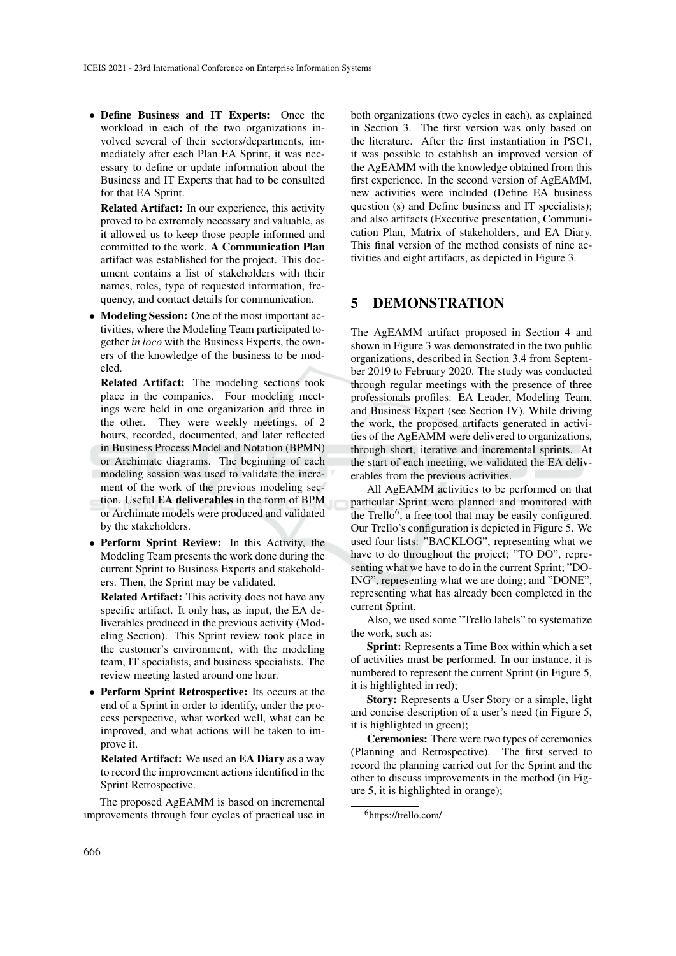• Define Business and IT Experts: Once the workload in each of the two organizations involved several of their sectors/departments, immediately after each Plan EA Sprint, it was necessary to define or update information about the Business and IT Experts that had to be consulted for that EA Sprint.

Related Artifact: In our experience, this activity proved to be extremely necessary and valuable, as it allowed us to keep those people informed and committed to the work. A Communication Plan artifact was established for the project. This document contains a list of stakeholders with their names, roles, type of requested information, frequency, and contact details for communication.

• Modeling Session: One of the most important activities, where the Modeling Team participated together *in loco* with the Business Experts, the owners of the knowledge of the business to be modeled.

Related Artifact: The modeling sections took place in the companies. Four modeling meetings were held in one organization and three in the other. They were weekly meetings, of 2 hours, recorded, documented, and later reflected in Business Process Model and Notation (BPMN) or Archimate diagrams. The beginning of each modeling session was used to validate the increment of the work of the previous modeling section. Useful EA deliverables in the form of BPM or Archimate models were produced and validated by the stakeholders.

• Perform Sprint Review: In this Activity, the Modeling Team presents the work done during the current Sprint to Business Experts and stakeholders. Then, the Sprint may be validated.

Related Artifact: This activity does not have any specific artifact. It only has, as input, the EA deliverables produced in the previous activity (Modeling Section). This Sprint review took place in the customer's environment, with the modeling team, IT specialists, and business specialists. The review meeting lasted around one hour.

• Perform Sprint Retrospective: Its occurs at the end of a Sprint in order to identify, under the process perspective, what worked well, what can be improved, and what actions will be taken to improve it.

Related Artifact: We used an EA Diary as a way to record the improvement actions identified in the Sprint Retrospective.

The proposed AgEAMM is based on incremental improvements through four cycles of practical use in both organizations (two cycles in each), as explained in Section 3. The first version was only based on the literature. After the first instantiation in PSC1, it was possible to establish an improved version of the AgEAMM with the knowledge obtained from this first experience. In the second version of AgEAMM, new activities were included (Define EA business question (s) and Define business and IT specialists); and also artifacts (Executive presentation, Communication Plan, Matrix of stakeholders, and EA Diary. This final version of the method consists of nine activities and eight artifacts, as depicted in Figure 3.

### 5 DEMONSTRATION

The AgEAMM artifact proposed in Section 4 and shown in Figure 3 was demonstrated in the two public organizations, described in Section 3.4 from September 2019 to February 2020. The study was conducted through regular meetings with the presence of three professionals profiles: EA Leader, Modeling Team, and Business Expert (see Section IV). While driving the work, the proposed artifacts generated in activities of the AgEAMM were delivered to organizations, through short, iterative and incremental sprints. At the start of each meeting, we validated the EA deliverables from the previous activities.

All AgEAMM activities to be performed on that particular Sprint were planned and monitored with the Trello<sup>6</sup>, a free tool that may be easily configured. Our Trello's configuration is depicted in Figure 5. We used four lists: "BACKLOG", representing what we have to do throughout the project; "TO DO", representing what we have to do in the current Sprint; "DO-ING", representing what we are doing; and "DONE", representing what has already been completed in the current Sprint.

Also, we used some "Trello labels" to systematize the work, such as:

Sprint: Represents a Time Box within which a set of activities must be performed. In our instance, it is numbered to represent the current Sprint (in Figure 5, it is highlighted in red);

Story: Represents a User Story or a simple, light and concise description of a user's need (in Figure 5, it is highlighted in green);

Ceremonies: There were two types of ceremonies (Planning and Retrospective). The first served to record the planning carried out for the Sprint and the other to discuss improvements in the method (in Figure 5, it is highlighted in orange);

<sup>6</sup>https://trello.com/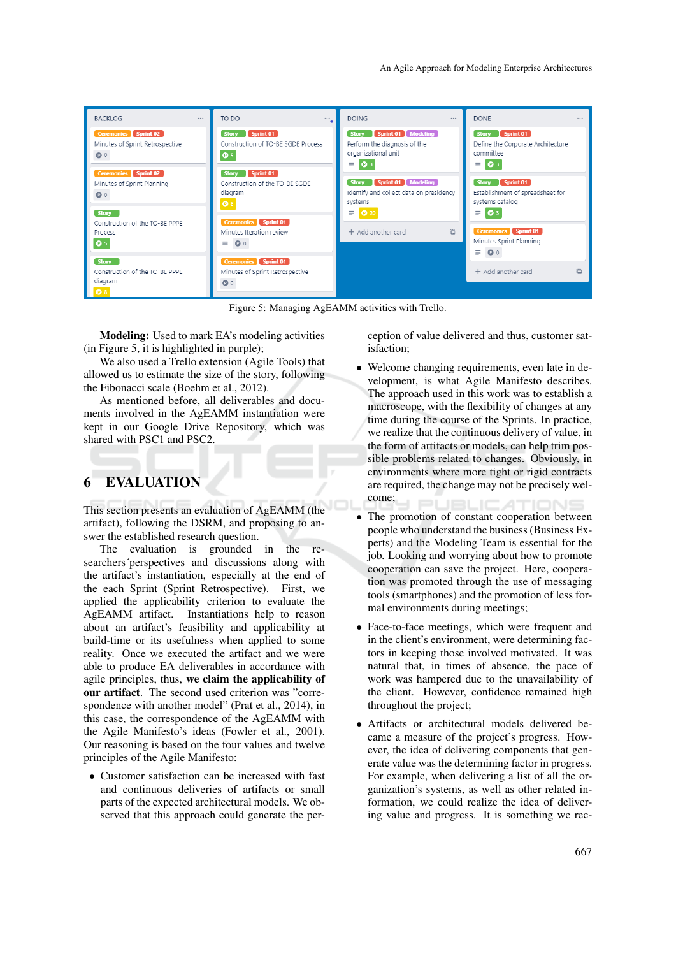

Figure 5: Managing AgEAMM activities with Trello.

Modeling: Used to mark EA's modeling activities (in Figure 5, it is highlighted in purple);

We also used a Trello extension (Agile Tools) that allowed us to estimate the size of the story, following the Fibonacci scale (Boehm et al., 2012).

As mentioned before, all deliverables and documents involved in the AgEAMM instantiation were kept in our Google Drive Repository, which was shared with PSC1 and PSC2.

# 6 EVALUATION

This section presents an evaluation of AgEAMM (the artifact), following the DSRM, and proposing to answer the established research question.

The evaluation is grounded in the researchers´perspectives and discussions along with the artifact's instantiation, especially at the end of the each Sprint (Sprint Retrospective). First, we applied the applicability criterion to evaluate the AgEAMM artifact. Instantiations help to reason about an artifact's feasibility and applicability at build-time or its usefulness when applied to some reality. Once we executed the artifact and we were able to produce EA deliverables in accordance with agile principles, thus, we claim the applicability of our artifact. The second used criterion was "correspondence with another model" (Prat et al., 2014), in this case, the correspondence of the AgEAMM with the Agile Manifesto's ideas (Fowler et al., 2001). Our reasoning is based on the four values and twelve principles of the Agile Manifesto:

• Customer satisfaction can be increased with fast and continuous deliveries of artifacts or small parts of the expected architectural models. We observed that this approach could generate the perception of value delivered and thus, customer satisfaction;

- Welcome changing requirements, even late in development, is what Agile Manifesto describes. The approach used in this work was to establish a macroscope, with the flexibility of changes at any time during the course of the Sprints. In practice, we realize that the continuous delivery of value, in the form of artifacts or models, can help trim possible problems related to changes. Obviously, in environments where more tight or rigid contracts are required, the change may not be precisely welcome; AТ
- The promotion of constant cooperation between people who understand the business (Business Experts) and the Modeling Team is essential for the job. Looking and worrying about how to promote cooperation can save the project. Here, cooperation was promoted through the use of messaging tools (smartphones) and the promotion of less formal environments during meetings;
- Face-to-face meetings, which were frequent and in the client's environment, were determining factors in keeping those involved motivated. It was natural that, in times of absence, the pace of work was hampered due to the unavailability of the client. However, confidence remained high throughout the project;
- Artifacts or architectural models delivered became a measure of the project's progress. However, the idea of delivering components that generate value was the determining factor in progress. For example, when delivering a list of all the organization's systems, as well as other related information, we could realize the idea of delivering value and progress. It is something we rec-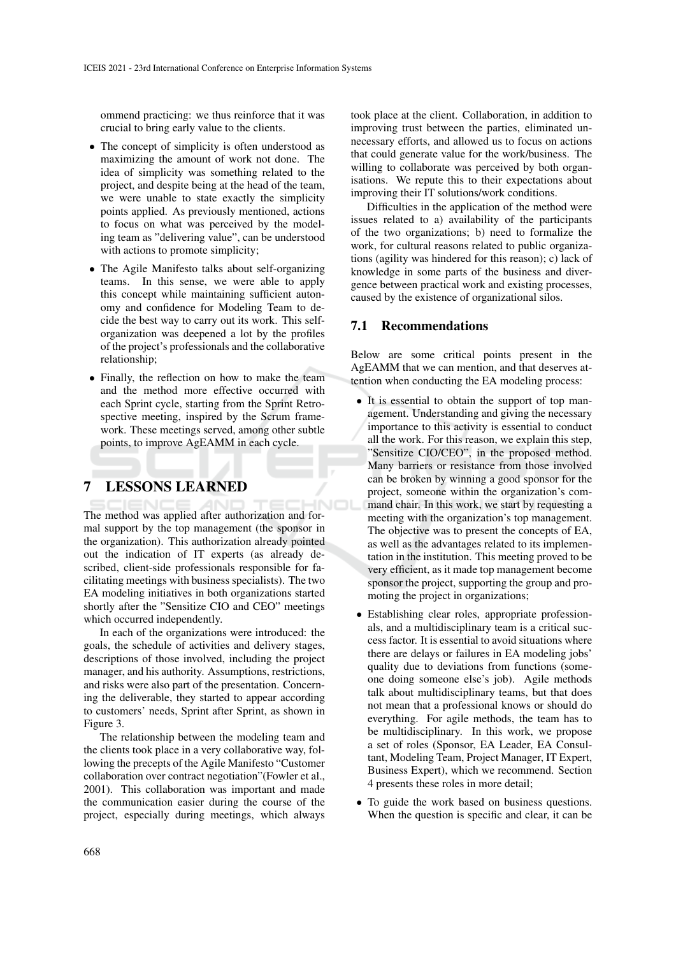ommend practicing: we thus reinforce that it was crucial to bring early value to the clients.

- The concept of simplicity is often understood as maximizing the amount of work not done. The idea of simplicity was something related to the project, and despite being at the head of the team, we were unable to state exactly the simplicity points applied. As previously mentioned, actions to focus on what was perceived by the modeling team as "delivering value", can be understood with actions to promote simplicity;
- The Agile Manifesto talks about self-organizing teams. In this sense, we were able to apply this concept while maintaining sufficient autonomy and confidence for Modeling Team to decide the best way to carry out its work. This selforganization was deepened a lot by the profiles of the project's professionals and the collaborative relationship;
- Finally, the reflection on how to make the team and the method more effective occurred with each Sprint cycle, starting from the Sprint Retrospective meeting, inspired by the Scrum framework. These meetings served, among other subtle points, to improve AgEAMM in each cycle.

# 7 LESSONS LEARNED

The method was applied after authorization and formal support by the top management (the sponsor in the organization). This authorization already pointed out the indication of IT experts (as already described, client-side professionals responsible for facilitating meetings with business specialists). The two EA modeling initiatives in both organizations started shortly after the "Sensitize CIO and CEO" meetings which occurred independently.

In each of the organizations were introduced: the goals, the schedule of activities and delivery stages, descriptions of those involved, including the project manager, and his authority. Assumptions, restrictions, and risks were also part of the presentation. Concerning the deliverable, they started to appear according to customers' needs, Sprint after Sprint, as shown in Figure 3.

The relationship between the modeling team and the clients took place in a very collaborative way, following the precepts of the Agile Manifesto "Customer collaboration over contract negotiation"(Fowler et al., 2001). This collaboration was important and made the communication easier during the course of the project, especially during meetings, which always

took place at the client. Collaboration, in addition to improving trust between the parties, eliminated unnecessary efforts, and allowed us to focus on actions that could generate value for the work/business. The willing to collaborate was perceived by both organisations. We repute this to their expectations about improving their IT solutions/work conditions.

Difficulties in the application of the method were issues related to a) availability of the participants of the two organizations; b) need to formalize the work, for cultural reasons related to public organizations (agility was hindered for this reason); c) lack of knowledge in some parts of the business and divergence between practical work and existing processes, caused by the existence of organizational silos.

#### 7.1 Recommendations

Below are some critical points present in the AgEAMM that we can mention, and that deserves attention when conducting the EA modeling process:

- It is essential to obtain the support of top management. Understanding and giving the necessary importance to this activity is essential to conduct all the work. For this reason, we explain this step, "Sensitize CIO/CEO", in the proposed method. Many barriers or resistance from those involved can be broken by winning a good sponsor for the project, someone within the organization's command chair. In this work, we start by requesting a meeting with the organization's top management. The objective was to present the concepts of EA, as well as the advantages related to its implementation in the institution. This meeting proved to be very efficient, as it made top management become sponsor the project, supporting the group and promoting the project in organizations;
- Establishing clear roles, appropriate professionals, and a multidisciplinary team is a critical success factor. It is essential to avoid situations where there are delays or failures in EA modeling jobs' quality due to deviations from functions (someone doing someone else's job). Agile methods talk about multidisciplinary teams, but that does not mean that a professional knows or should do everything. For agile methods, the team has to be multidisciplinary. In this work, we propose a set of roles (Sponsor, EA Leader, EA Consultant, Modeling Team, Project Manager, IT Expert, Business Expert), which we recommend. Section 4 presents these roles in more detail;
- To guide the work based on business questions. When the question is specific and clear, it can be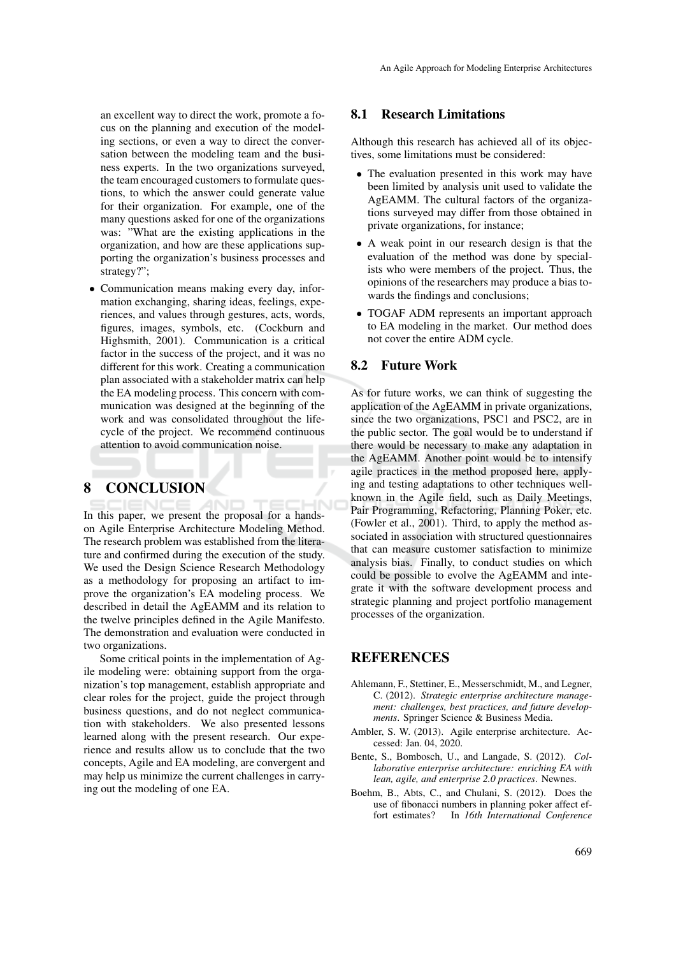an excellent way to direct the work, promote a focus on the planning and execution of the modeling sections, or even a way to direct the conversation between the modeling team and the business experts. In the two organizations surveyed, the team encouraged customers to formulate questions, to which the answer could generate value for their organization. For example, one of the many questions asked for one of the organizations was: "What are the existing applications in the organization, and how are these applications supporting the organization's business processes and strategy?";

• Communication means making every day, information exchanging, sharing ideas, feelings, experiences, and values through gestures, acts, words, figures, images, symbols, etc. (Cockburn and Highsmith, 2001). Communication is a critical factor in the success of the project, and it was no different for this work. Creating a communication plan associated with a stakeholder matrix can help the EA modeling process. This concern with communication was designed at the beginning of the work and was consolidated throughout the lifecycle of the project. We recommend continuous attention to avoid communication noise.

#### 8 CONCLUSION

In this paper, we present the proposal for a handson Agile Enterprise Architecture Modeling Method. The research problem was established from the literature and confirmed during the execution of the study. We used the Design Science Research Methodology as a methodology for proposing an artifact to improve the organization's EA modeling process. We described in detail the AgEAMM and its relation to the twelve principles defined in the Agile Manifesto. The demonstration and evaluation were conducted in two organizations.

Some critical points in the implementation of Agile modeling were: obtaining support from the organization's top management, establish appropriate and clear roles for the project, guide the project through business questions, and do not neglect communication with stakeholders. We also presented lessons learned along with the present research. Our experience and results allow us to conclude that the two concepts, Agile and EA modeling, are convergent and may help us minimize the current challenges in carrying out the modeling of one EA.

#### 8.1 Research Limitations

Although this research has achieved all of its objectives, some limitations must be considered:

- The evaluation presented in this work may have been limited by analysis unit used to validate the AgEAMM. The cultural factors of the organizations surveyed may differ from those obtained in private organizations, for instance;
- A weak point in our research design is that the evaluation of the method was done by specialists who were members of the project. Thus, the opinions of the researchers may produce a bias towards the findings and conclusions;
- TOGAF ADM represents an important approach to EA modeling in the market. Our method does not cover the entire ADM cycle.

#### 8.2 Future Work

As for future works, we can think of suggesting the application of the AgEAMM in private organizations, since the two organizations, PSC1 and PSC2, are in the public sector. The goal would be to understand if there would be necessary to make any adaptation in the AgEAMM. Another point would be to intensify agile practices in the method proposed here, applying and testing adaptations to other techniques wellknown in the Agile field, such as Daily Meetings, Pair Programming, Refactoring, Planning Poker, etc. (Fowler et al., 2001). Third, to apply the method associated in association with structured questionnaires that can measure customer satisfaction to minimize analysis bias. Finally, to conduct studies on which could be possible to evolve the AgEAMM and integrate it with the software development process and strategic planning and project portfolio management processes of the organization.

### REFERENCES

- Ahlemann, F., Stettiner, E., Messerschmidt, M., and Legner, C. (2012). *Strategic enterprise architecture management: challenges, best practices, and future developments*. Springer Science & Business Media.
- Ambler, S. W. (2013). Agile enterprise architecture. Accessed: Jan. 04, 2020.
- Bente, S., Bombosch, U., and Langade, S. (2012). *Collaborative enterprise architecture: enriching EA with lean, agile, and enterprise 2.0 practices*. Newnes.
- Boehm, B., Abts, C., and Chulani, S. (2012). Does the use of fibonacci numbers in planning poker affect effort estimates? In *16th International Conference*